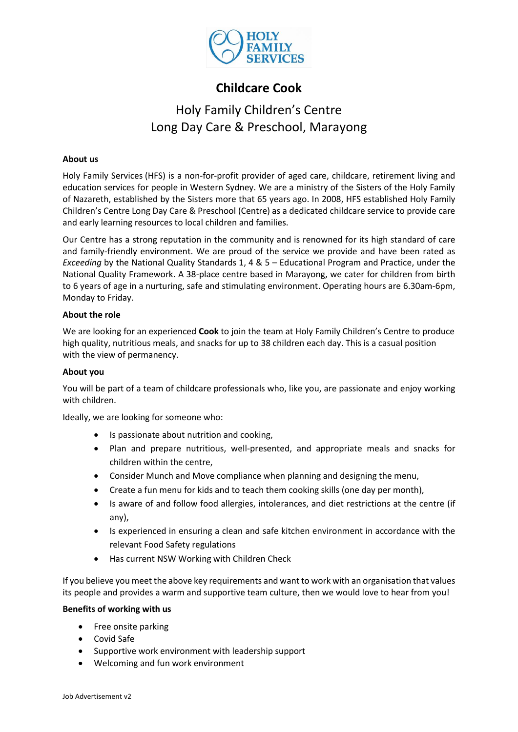

## **Childcare Cook**

# Holy Family Children's Centre Long Day Care & Preschool, Marayong

### **About us**

Holy Family Services (HFS) is a non-for-profit provider of [aged care,](http://www.holyfamilyservices.com.au/aged-care.aspx) childcare, retirement living and education services for people in Western Sydney. We are a ministry of the Sisters of the Holy Family of Nazareth, established by the Sisters more that 65 years ago. In 2008, HFS established Holy Family Children's Centre Long Day Care & Preschool (Centre) as a dedicated childcare service to provide care and early learning resources to local children and families.

Our Centre has a strong reputation in the community and is renowned for its high standard of care and family-friendly environment. We are proud of the service we provide and have been rated as *Exceeding* by the National Quality Standards 1, 4 & 5 – Educational Program and Practice, under the National Quality Framework. A 38-place centre based in Marayong, we cater for children from birth to 6 years of age in a nurturing, safe and stimulating environment. Operating hours are 6.30am-6pm, Monday to Friday.

### **About the role**

We are looking for an experienced **Cook** to join the team at Holy Family Children's Centre to produce high quality, nutritious meals, and snacks for up to 38 children each day. This is a casual position with the view of permanency.

### **About you**

You will be part of a team of childcare professionals who, like you, are passionate and enjoy working with children.

Ideally, we are looking for someone who:

- Is passionate about nutrition and cooking,
- Plan and prepare nutritious, well-presented, and appropriate meals and snacks for children within the centre,
- Consider Munch and Move compliance when planning and designing the menu,
- Create a fun menu for kids and to teach them cooking skills (one day per month),
- Is aware of and follow food allergies, intolerances, and diet restrictions at the centre (if any),
- Is experienced in ensuring a clean and safe kitchen environment in accordance with the relevant Food Safety regulations
- Has current NSW Working with Children Check

If you believe you meet the above key requirements and want to work with an organisation that values its people and provides a warm and supportive team culture, then we would love to hear from you!

### **Benefits of working with us**

- Free onsite parking
- Covid Safe
- Supportive work environment with leadership support
- Welcoming and fun work environment